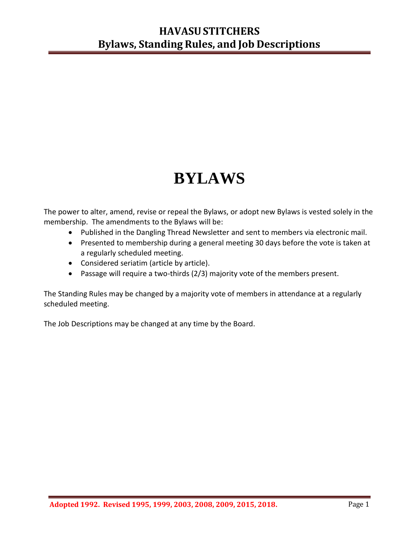# **BYLAWS**

The power to alter, amend, revise or repeal the Bylaws, or adopt new Bylaws is vested solely in the membership. The amendments to the Bylaws will be:

- Published in the Dangling Thread Newsletter and sent to members via electronic mail.
- Presented to membership during a general meeting 30 days before the vote is taken at a regularly scheduled meeting.
- Considered seriatim (article by article).
- Passage will require a two-thirds (2/3) majority vote of the members present.

The Standing Rules may be changed by a majority vote of members in attendance at a regularly scheduled meeting.

The Job Descriptions may be changed at any time by the Board.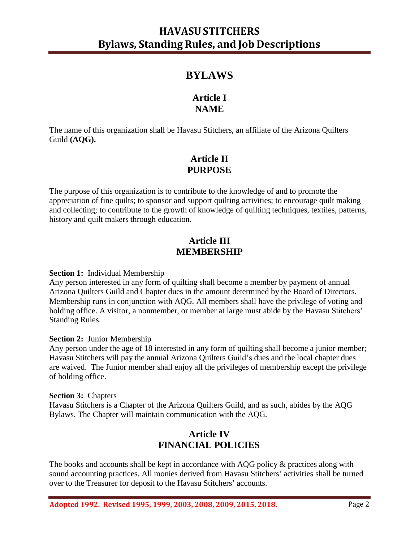## **BYLAWS**

## **Article I NAME**

The name of this organization shall be Havasu Stitchers, an affiliate of the Arizona Quilters Guild **(AQG).**

## **Article II PURPOSE**

The purpose of this organization is to contribute to the knowledge of and to promote the appreciation of fine quilts; to sponsor and support quilting activities; to encourage quilt making and collecting; to contribute to the growth of knowledge of quilting techniques, textiles, patterns, history and quilt makers through education.

## **Article III MEMBERSHIP**

#### **Section 1:** Individual Membership

Any person interested in any form of quilting shall become a member by payment of annual Arizona Quilters Guild and Chapter dues in the amount determined by the Board of Directors. Membership runs in conjunction with AQG. All members shall have the privilege of voting and holding office. A visitor, a nonmember, or member at large must abide by the Havasu Stitchers' Standing Rules.

#### **Section 2:** Junior Membership

Any person under the age of 18 interested in any form of quilting shall become a junior member; Havasu Stitchers will pay the annual Arizona Quilters Guild's dues and the local chapter dues are waived. The Junior member shall enjoy all the privileges of membership except the privilege of holding office.

#### **Section 3:** Chapters

Havasu Stitchers is a Chapter of the Arizona Quilters Guild, and as such, abides by the AQG Bylaws. The Chapter will maintain communication with the AQG.

## **Article IV FINANCIAL POLICIES**

The books and accounts shall be kept in accordance with AQG policy  $\&$  practices along with sound accounting practices. All monies derived from Havasu Stitchers' activities shall be turned over to the Treasurer for deposit to the Havasu Stitchers' accounts.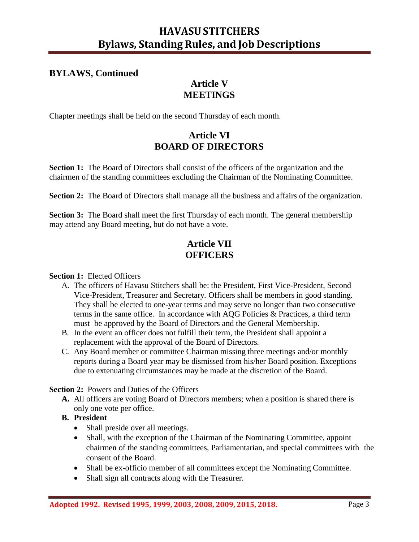### **BYLAWS, Continued**

## **Article V MEETINGS**

Chapter meetings shall be held on the second Thursday of each month.

## **Article VI BOARD OF DIRECTORS**

**Section 1:** The Board of Directors shall consist of the officers of the organization and the chairmen of the standing committees excluding the Chairman of the Nominating Committee.

**Section 2:** The Board of Directors shall manage all the business and affairs of the organization.

**Section 3:** The Board shall meet the first Thursday of each month. The general membership may attend any Board meeting, but do not have a vote.

## **Article VII OFFICERS**

#### **Section 1:** Elected Officers

- A. The officers of Havasu Stitchers shall be: the President, First Vice-President, Second Vice-President, Treasurer and Secretary. Officers shall be members in good standing. They shall be elected to one-year terms and may serve no longer than two consecutive terms in the same office. In accordance with AQG Policies & Practices, a third term must be approved by the Board of Directors and the General Membership.
- B. In the event an officer does not fulfill their term, the President shall appoint a replacement with the approval of the Board of Directors.
- C. Any Board member or committee Chairman missing three meetings and/or monthly reports during a Board year may be dismissed from his/her Board position. Exceptions due to extenuating circumstances may be made at the discretion of the Board.

**Section 2:** Powers and Duties of the Officers

**A.** All officers are voting Board of Directors members; when a position is shared there is only one vote per office.

#### **B. President**

- Shall preside over all meetings.
- Shall, with the exception of the Chairman of the Nominating Committee, appoint chairmen of the standing committees, Parliamentarian, and special committees with the consent of the Board.
- Shall be ex-officio member of all committees except the Nominating Committee.
- Shall sign all contracts along with the Treasurer.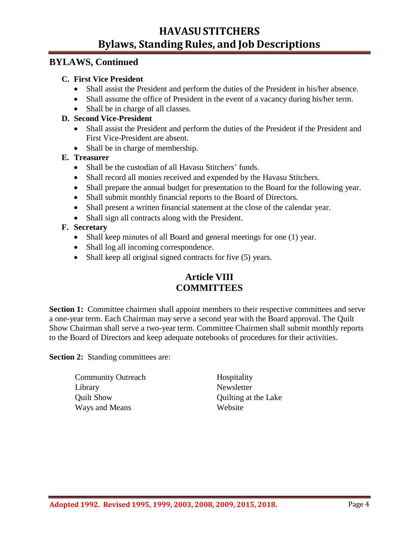#### **BYLAWS, Continued**

#### **C. First Vice President**

- Shall assist the President and perform the duties of the President in his/her absence.
- Shall assume the office of President in the event of a vacancy during his/her term.
- Shall be in charge of all classes.

#### **D. Second Vice-President**

- Shall assist the President and perform the duties of the President if the President and First Vice-President are absent.
- Shall be in charge of membership.

#### **E. Treasurer**

- Shall be the custodian of all Havasu Stitchers' funds.
- Shall record all monies received and expended by the Havasu Stitchers.
- Shall prepare the annual budget for presentation to the Board for the following year.
- Shall submit monthly financial reports to the Board of Directors.
- Shall present a written financial statement at the close of the calendar year.
- Shall sign all contracts along with the President.

#### **F. Secretary**

- Shall keep minutes of all Board and general meetings for one (1) year.
- Shall log all incoming correspondence.
- Shall keep all original signed contracts for five (5) years.

## **Article VIII COMMITTEES**

**Section 1:** Committee chairmen shall appoint members to their respective committees and serve a one-year term. Each Chairman may serve a second year with the Board approval. The Quilt Show Chairman shall serve a two-year term. Committee Chairmen shall submit monthly reports to the Board of Directors and keep adequate notebooks of procedures for their activities.

**Section 2:** Standing committees are:

Community Outreach Hospitality Library Newsletter Quilt Show Quilting at the Lake Ways and Means Website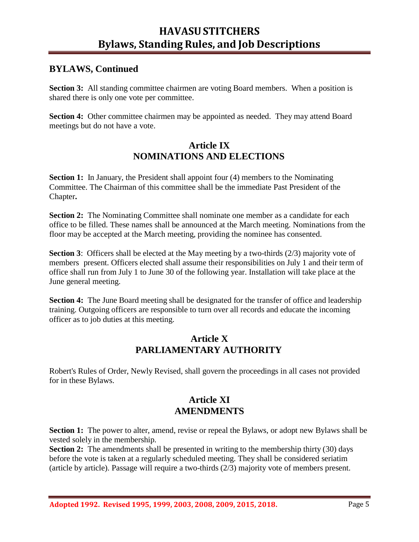## **BYLAWS, Continued**

**Section 3:** All standing committee chairmen are voting Board members. When a position is shared there is only one vote per committee.

**Section 4:** Other committee chairmen may be appointed as needed. They may attend Board meetings but do not have a vote.

## **Article IX NOMINATIONS AND ELECTIONS**

**Section 1:** In January, the President shall appoint four (4) members to the Nominating Committee. The Chairman of this committee shall be the immediate Past President of the Chapter**.**

**Section 2:** The Nominating Committee shall nominate one member as a candidate for each office to be filled. These names shall be announced at the March meeting. Nominations from the floor may be accepted at the March meeting, providing the nominee has consented.

**Section 3:** Officers shall be elected at the May meeting by a two-thirds (2/3) majority vote of members present. Officers elected shall assume their responsibilities on July 1 and their term of office shall run from July 1 to June 30 of the following year. Installation will take place at the June general meeting.

**Section 4:** The June Board meeting shall be designated for the transfer of office and leadership training. Outgoing officers are responsible to turn over all records and educate the incoming officer as to job duties at this meeting.

### **Article X PARLIAMENTARY AUTHORITY**

Robert's Rules of Order, Newly Revised, shall govern the proceedings in all cases not provided for in these Bylaws.

## **Article XI AMENDMENTS**

**Section 1:** The power to alter, amend, revise or repeal the Bylaws, or adopt new Bylaws shall be vested solely in the membership.

**Section 2:** The amendments shall be presented in writing to the membership thirty (30) days before the vote is taken at a regularly scheduled meeting. They shall be considered seriatim (article by article). Passage will require a two-thirds (2/3) majority vote of members present.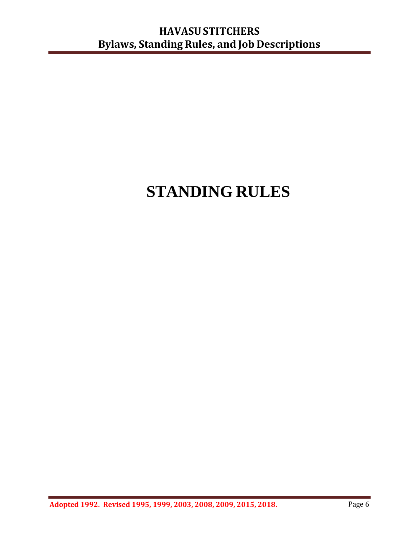# **STANDING RULES**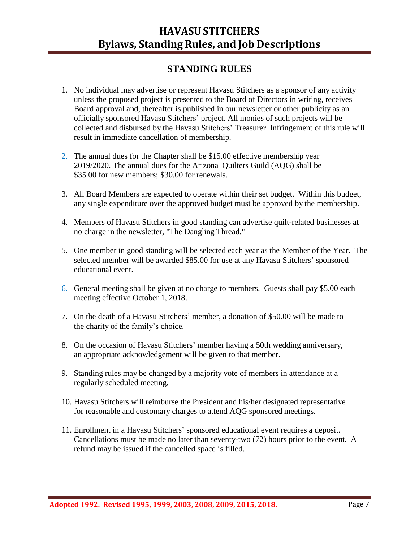## **STANDING RULES**

- 1. No individual may advertise or represent Havasu Stitchers as a sponsor of any activity unless the proposed project is presented to the Board of Directors in writing, receives Board approval and, thereafter is published in our newsletter or other publicity as an officially sponsored Havasu Stitchers' project. All monies of such projects will be collected and disbursed by the Havasu Stitchers' Treasurer. Infringement of this rule will result in immediate cancellation of membership.
- 2. The annual dues for the Chapter shall be \$15.00 effective membership year 2019/2020. The annual dues for the Arizona Quilters Guild (AQG) shall be \$35.00 for new members; \$30.00 for renewals.
- 3. All Board Members are expected to operate within their set budget. Within this budget, any single expenditure over the approved budget must be approved by the membership.
- 4. Members of Havasu Stitchers in good standing can advertise quilt-related businesses at no charge in the newsletter, "The Dangling Thread."
- 5. One member in good standing will be selected each year as the Member of the Year. The selected member will be awarded \$85.00 for use at any Havasu Stitchers' sponsored educational event.
- 6. General meeting shall be given at no charge to members. Guests shall pay \$5.00 each meeting effective October 1, 2018.
- 7. On the death of a Havasu Stitchers' member, a donation of \$50.00 will be made to the charity of the family's choice.
- 8. On the occasion of Havasu Stitchers' member having a 50th wedding anniversary, an appropriate acknowledgement will be given to that member.
- 9. Standing rules may be changed by a majority vote of members in attendance at a regularly scheduled meeting.
- 10. Havasu Stitchers will reimburse the President and his/her designated representative for reasonable and customary charges to attend AQG sponsored meetings.
- 11. Enrollment in a Havasu Stitchers' sponsored educational event requires a deposit. Cancellations must be made no later than seventy-two (72) hours prior to the event. A refund may be issued if the cancelled space is filled.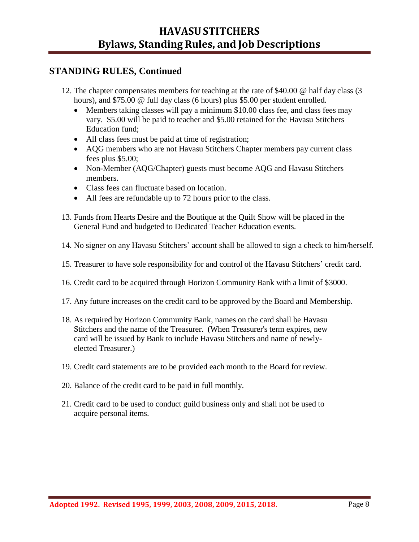## **STANDING RULES, Continued**

- 12. The chapter compensates members for teaching at the rate of \$40.00 @ half day class (3 hours), and \$75.00 @ full day class (6 hours) plus \$5.00 per student enrolled.
	- Members taking classes will pay a minimum \$10.00 class fee, and class fees may vary. \$5.00 will be paid to teacher and \$5.00 retained for the Havasu Stitchers Education fund;
	- All class fees must be paid at time of registration;
	- AQG members who are not Havasu Stitchers Chapter members pay current class fees plus \$5.00;
	- Non-Member (AQG/Chapter) guests must become AQG and Havasu Stitchers members.
	- Class fees can fluctuate based on location.
	- All fees are refundable up to 72 hours prior to the class.
- 13. Funds from Hearts Desire and the Boutique at the Quilt Show will be placed in the General Fund and budgeted to Dedicated Teacher Education events.
- 14. No signer on any Havasu Stitchers' account shall be allowed to sign a check to him/herself.
- 15. Treasurer to have sole responsibility for and control of the Havasu Stitchers' credit card.
- 16. Credit card to be acquired through Horizon Community Bank with a limit of \$3000.
- 17. Any future increases on the credit card to be approved by the Board and Membership.
- 18. As required by Horizon Community Bank, names on the card shall be Havasu Stitchers and the name of the Treasurer. (When Treasurer's term expires, new card will be issued by Bank to include Havasu Stitchers and name of newlyelected Treasurer.)
- 19. Credit card statements are to be provided each month to the Board for review.
- 20. Balance of the credit card to be paid in full monthly.
- 21. Credit card to be used to conduct guild business only and shall not be used to acquire personal items.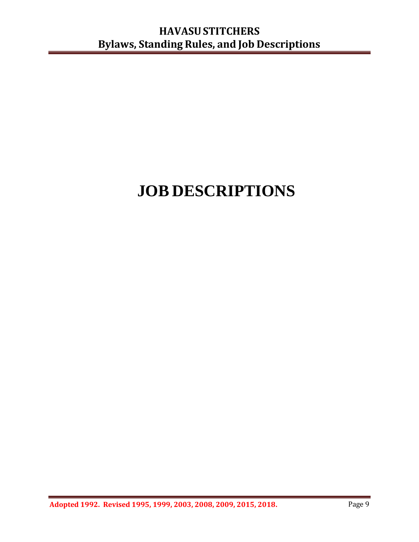# **JOB DESCRIPTIONS**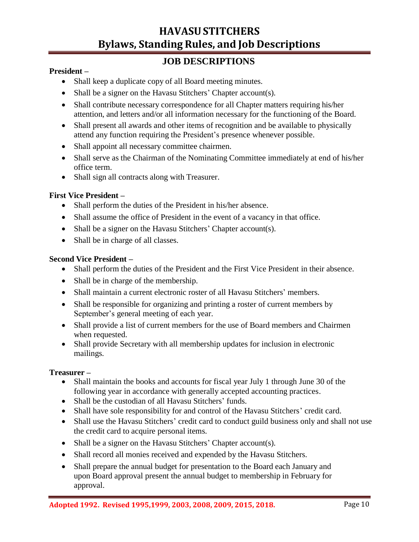## **JOB DESCRIPTIONS**

#### **President –**

- Shall keep a duplicate copy of all Board meeting minutes.
- Shall be a signer on the Havasu Stitchers' Chapter account(s).
- Shall contribute necessary correspondence for all Chapter matters requiring his/her attention, and letters and/or all information necessary for the functioning of the Board.
- Shall present all awards and other items of recognition and be available to physically attend any function requiring the President's presence whenever possible.
- Shall appoint all necessary committee chairmen.
- Shall serve as the Chairman of the Nominating Committee immediately at end of his/her office term.
- Shall sign all contracts along with Treasurer.

#### **First Vice President –**

- Shall perform the duties of the President in his/her absence.
- Shall assume the office of President in the event of a vacancy in that office.
- Shall be a signer on the Havasu Stitchers' Chapter account(s).
- Shall be in charge of all classes.

#### **Second Vice President –**

- Shall perform the duties of the President and the First Vice President in their absence.
- Shall be in charge of the membership.
- Shall maintain a current electronic roster of all Havasu Stitchers' members.
- Shall be responsible for organizing and printing a roster of current members by September's general meeting of each year.
- Shall provide a list of current members for the use of Board members and Chairmen when requested.
- Shall provide Secretary with all membership updates for inclusion in electronic mailings.

#### **Treasurer –**

- Shall maintain the books and accounts for fiscal year July 1 through June 30 of the following year in accordance with generally accepted accounting practices.
- Shall be the custodian of all Havasu Stitchers' funds.
- Shall have sole responsibility for and control of the Havasu Stitchers' credit card.
- Shall use the Havasu Stitchers' credit card to conduct guild business only and shall not use the credit card to acquire personal items.
- Shall be a signer on the Havasu Stitchers' Chapter account(s).
- Shall record all monies received and expended by the Havasu Stitchers.
- Shall prepare the annual budget for presentation to the Board each January and upon Board approval present the annual budget to membership in February for approval.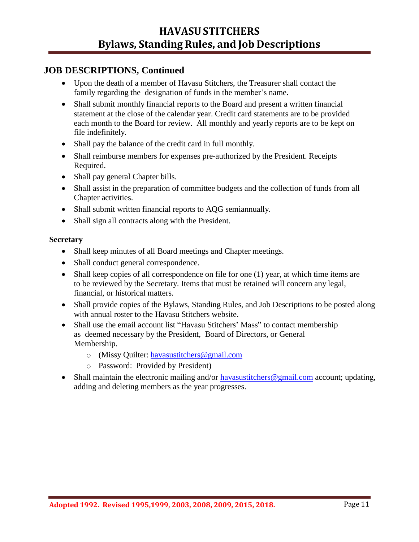- Upon the death of a member of Havasu Stitchers, the Treasurer shall contact the family regarding the designation of funds in the member's name.
- Shall submit monthly financial reports to the Board and present a written financial statement at the close of the calendar year. Credit card statements are to be provided each month to the Board for review. All monthly and yearly reports are to be kept on file indefinitely.
- Shall pay the balance of the credit card in full monthly.
- Shall reimburse members for expenses pre-authorized by the President. Receipts Required.
- Shall pay general Chapter bills.
- Shall assist in the preparation of committee budgets and the collection of funds from all Chapter activities.
- Shall submit written financial reports to AQG semiannually.
- Shall sign all contracts along with the President.

#### **Secretary**

- Shall keep minutes of all Board meetings and Chapter meetings.
- Shall conduct general correspondence.
- Shall keep copies of all correspondence on file for one (1) year, at which time items are to be reviewed by the Secretary. Items that must be retained will concern any legal, financial, or historical matters.
- Shall provide copies of the Bylaws, Standing Rules, and Job Descriptions to be posted along with annual roster to the Havasu Stitchers website.
- Shall use the email account list "Havasu Stitchers' Mass" to contact membership as deemed necessary by the President, Board of Directors, or General Membership.
	- o (Missy Quilter: [havasustitchers@gmail.com](mailto:havasustitchers@gmail.com)
	- o Password: Provided by President)
- Shall maintain the electronic mailing and/or [havasustitchers@gmail.com](mailto:havasustitchers@gmail.com) account; updating, adding and deleting members as the year progresses.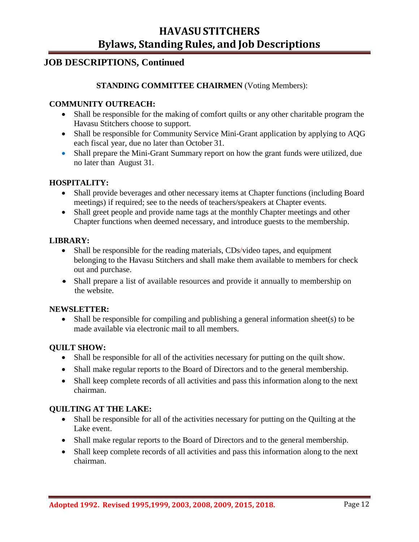## **JOB DESCRIPTIONS, Continued**

#### **STANDING COMMITTEE CHAIRMEN** (Voting Members):

#### **COMMUNITY OUTREACH:**

- Shall be responsible for the making of comfort quilts or any other charitable program the Havasu Stitchers choose to support.
- Shall be responsible for Community Service Mini-Grant application by applying to AQG each fiscal year, due no later than October 31.
- Shall prepare the Mini-Grant Summary report on how the grant funds were utilized, due no later than August 31.

#### **HOSPITALITY:**

- Shall provide beverages and other necessary items at Chapter functions (including Board meetings) if required; see to the needs of teachers/speakers at Chapter events.
- Shall greet people and provide name tags at the monthly Chapter meetings and other Chapter functions when deemed necessary, and introduce guests to the membership.

#### **LIBRARY:**

- Shall be responsible for the reading materials, CDs/video tapes, and equipment belonging to the Havasu Stitchers and shall make them available to members for check out and purchase.
- Shall prepare a list of available resources and provide it annually to membership on the website.

#### **NEWSLETTER:**

• Shall be responsible for compiling and publishing a general information sheet(s) to be made available via electronic mail to all members.

#### **QUILT SHOW:**

- Shall be responsible for all of the activities necessary for putting on the quilt show.
- Shall make regular reports to the Board of Directors and to the general membership.
- Shall keep complete records of all activities and pass this information along to the next chairman.

#### **QUILTING AT THE LAKE:**

- Shall be responsible for all of the activities necessary for putting on the Quilting at the Lake event.
- Shall make regular reports to the Board of Directors and to the general membership.
- Shall keep complete records of all activities and pass this information along to the next chairman.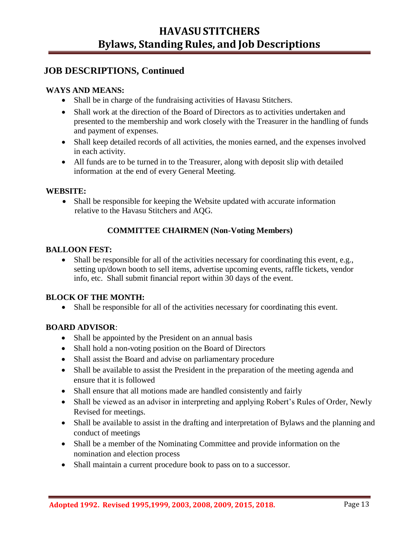#### **WAYS AND MEANS:**

- Shall be in charge of the fundraising activities of Havasu Stitchers.
- Shall work at the direction of the Board of Directors as to activities undertaken and presented to the membership and work closely with the Treasurer in the handling of funds and payment of expenses.
- Shall keep detailed records of all activities, the monies earned, and the expenses involved in each activity.
- All funds are to be turned in to the Treasurer, along with deposit slip with detailed information at the end of every General Meeting.

#### **WEBSITE:**

• Shall be responsible for keeping the Website updated with accurate information relative to the Havasu Stitchers and AQG.

#### **COMMITTEE CHAIRMEN (Non-Voting Members)**

#### **BALLOON FEST:**

• Shall be responsible for all of the activities necessary for coordinating this event, e.g., setting up/down booth to sell items, advertise upcoming events, raffle tickets, vendor info, etc. Shall submit financial report within 30 days of the event.

#### **BLOCK OF THE MONTH:**

• Shall be responsible for all of the activities necessary for coordinating this event.

#### **BOARD ADVISOR**:

- Shall be appointed by the President on an annual basis
- Shall hold a non-voting position on the Board of Directors
- Shall assist the Board and advise on parliamentary procedure
- Shall be available to assist the President in the preparation of the meeting agenda and ensure that it is followed
- Shall ensure that all motions made are handled consistently and fairly
- Shall be viewed as an advisor in interpreting and applying Robert's Rules of Order, Newly Revised for meetings.
- Shall be available to assist in the drafting and interpretation of Bylaws and the planning and conduct of meetings
- Shall be a member of the Nominating Committee and provide information on the nomination and election process
- Shall maintain a current procedure book to pass on to a successor.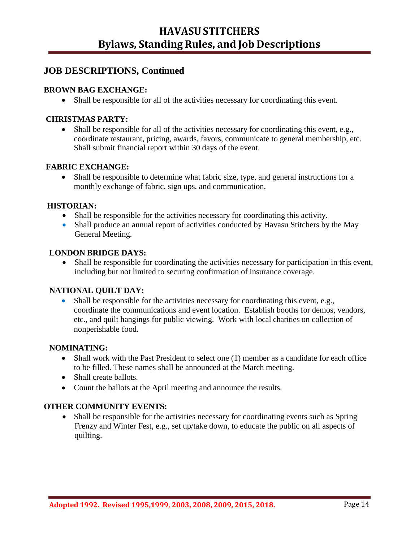#### **BROWN BAG EXCHANGE:**

• Shall be responsible for all of the activities necessary for coordinating this event.

#### **CHRISTMAS PARTY:**

• Shall be responsible for all of the activities necessary for coordinating this event, e.g., coordinate restaurant, pricing, awards, favors, communicate to general membership, etc. Shall submit financial report within 30 days of the event.

#### **FABRIC EXCHANGE:**

• Shall be responsible to determine what fabric size, type, and general instructions for a monthly exchange of fabric, sign ups, and communication.

#### **HISTORIAN:**

- Shall be responsible for the activities necessary for coordinating this activity.
- Shall produce an annual report of activities conducted by Havasu Stitchers by the May General Meeting.

#### **LONDON BRIDGE DAYS:**

• Shall be responsible for coordinating the activities necessary for participation in this event, including but not limited to securing confirmation of insurance coverage.

#### **NATIONAL QUILT DAY:**

• Shall be responsible for the activities necessary for coordinating this event, e.g., coordinate the communications and event location. Establish booths for demos, vendors, etc., and quilt hangings for public viewing. Work with local charities on collection of nonperishable food.

#### **NOMINATING:**

- Shall work with the Past President to select one (1) member as a candidate for each office to be filled. These names shall be announced at the March meeting.
- Shall create ballots.
- Count the ballots at the April meeting and announce the results.

#### **OTHER COMMUNITY EVENTS:**

• Shall be responsible for the activities necessary for coordinating events such as Spring Frenzy and Winter Fest, e.g., set up/take down, to educate the public on all aspects of quilting.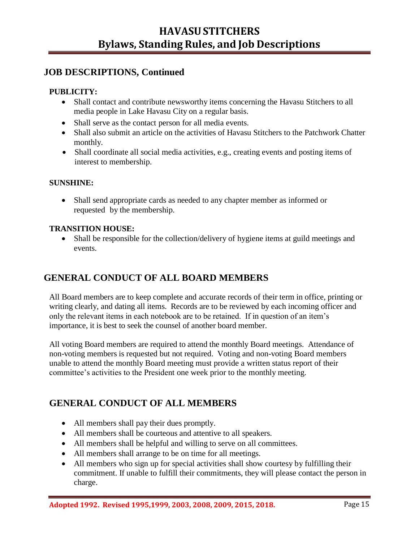#### **PUBLICITY:**

- Shall contact and contribute newsworthy items concerning the Havasu Stitchers to all media people in Lake Havasu City on a regular basis.
- Shall serve as the contact person for all media events.
- Shall also submit an article on the activities of Havasu Stitchers to the Patchwork Chatter monthly.
- Shall coordinate all social media activities, e.g., creating events and posting items of interest to membership.

#### **SUNSHINE:**

• Shall send appropriate cards as needed to any chapter member as informed or requested by the membership.

#### **TRANSITION HOUSE:**

• Shall be responsible for the collection/delivery of hygiene items at guild meetings and events.

## **GENERAL CONDUCT OF ALL BOARD MEMBERS**

All Board members are to keep complete and accurate records of their term in office, printing or writing clearly, and dating all items. Records are to be reviewed by each incoming officer and only the relevant items in each notebook are to be retained. If in question of an item's importance, it is best to seek the counsel of another board member.

All voting Board members are required to attend the monthly Board meetings. Attendance of non-voting members is requested but not required. Voting and non-voting Board members unable to attend the monthly Board meeting must provide a written status report of their committee's activities to the President one week prior to the monthly meeting.

## **GENERAL CONDUCT OF ALL MEMBERS**

- All members shall pay their dues promptly.
- All members shall be courteous and attentive to all speakers.
- All members shall be helpful and willing to serve on all committees.
- All members shall arrange to be on time for all meetings.
- All members who sign up for special activities shall show courtesy by fulfilling their commitment. If unable to fulfill their commitments, they will please contact the person in charge.